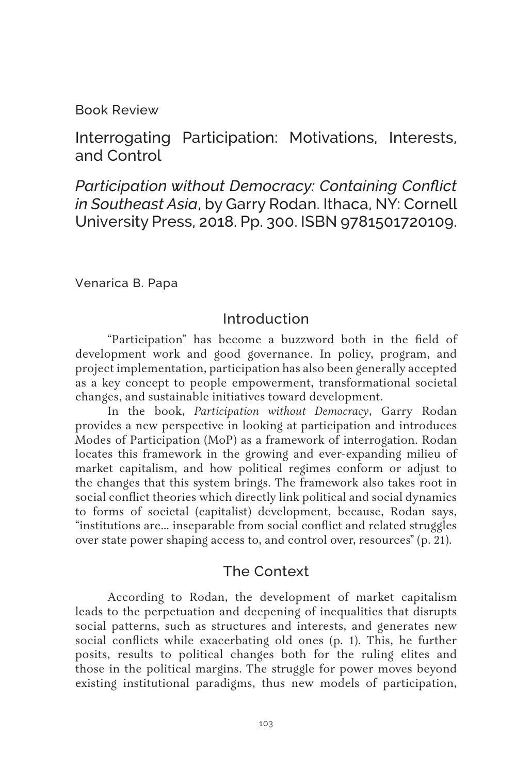Book Review

Interrogating Participation: Motivations, Interests, and Control

*Participation without Democracy: Containing Conflict in Southeast Asia*, by Garry Rodan. Ithaca, NY: Cornell University Press, 2018. Pp. 300. ISBN 9781501720109.

Venarica B. Papa

## Introduction

"Participation" has become a buzzword both in the field of development work and good governance. In policy, program, and project implementation, participation has also been generally accepted as a key concept to people empowerment, transformational societal changes, and sustainable initiatives toward development.

In the book, *Participation without Democracy*, Garry Rodan provides a new perspective in looking at participation and introduces Modes of Participation (MoP) as a framework of interrogation. Rodan locates this framework in the growing and ever-expanding milieu of market capitalism, and how political regimes conform or adjust to the changes that this system brings. The framework also takes root in social conflict theories which directly link political and social dynamics to forms of societal (capitalist) development, because, Rodan says, "institutions are… inseparable from social conflict and related struggles over state power shaping access to, and control over, resources" (p. 21).

#### The Context

According to Rodan, the development of market capitalism leads to the perpetuation and deepening of inequalities that disrupts social patterns, such as structures and interests, and generates new social conflicts while exacerbating old ones (p. 1). This, he further posits, results to political changes both for the ruling elites and those in the political margins. The struggle for power moves beyond existing institutional paradigms, thus new models of participation,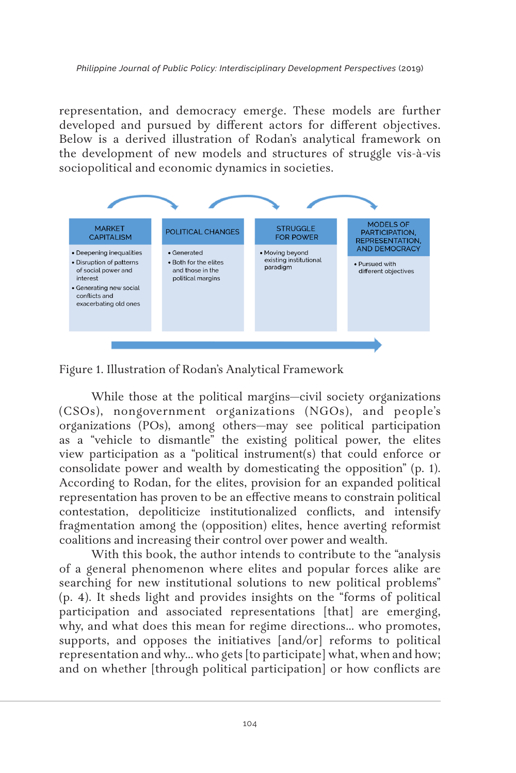representation, and democracy emerge. These models are further developed and pursued by different actors for different objectives. Below is a derived illustration of Rodan's analytical framework on the development of new models and structures of struggle vis-à-vis sociopolitical and economic dynamics in societies.



Figure 1. Illustration of Rodan's Analytical Framework

While those at the political margins—civil society organizations (CSOs), nongovernment organizations (NGOs), and people's organizations (POs), among others—may see political participation as a "vehicle to dismantle" the existing political power, the elites view participation as a "political instrument(s) that could enforce or consolidate power and wealth by domesticating the opposition" (p. 1). According to Rodan, for the elites, provision for an expanded political representation has proven to be an effective means to constrain political contestation, depoliticize institutionalized conflicts, and intensify fragmentation among the (opposition) elites, hence averting reformist coalitions and increasing their control over power and wealth.

With this book, the author intends to contribute to the "analysis of a general phenomenon where elites and popular forces alike are searching for new institutional solutions to new political problems" (p. 4). It sheds light and provides insights on the "forms of political participation and associated representations [that] are emerging, why, and what does this mean for regime directions… who promotes, supports, and opposes the initiatives [and/or] reforms to political representation and why… who gets [to participate] what, when and how; and on whether [through political participation] or how conflicts are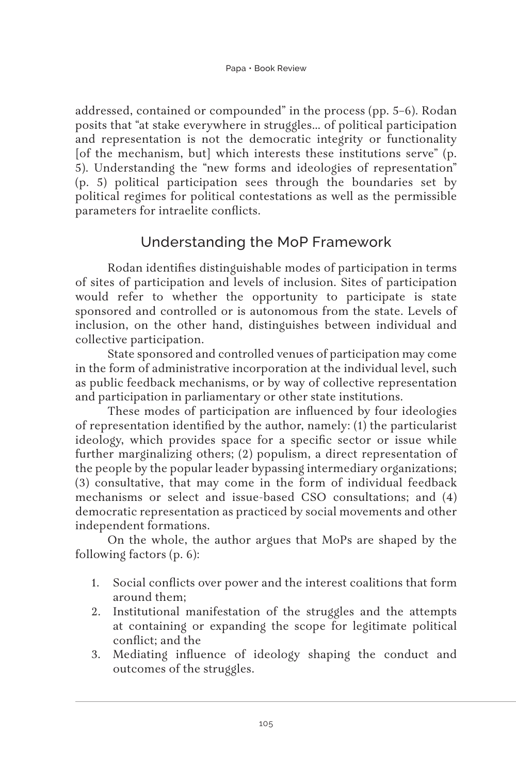addressed, contained or compounded" in the process (pp. 5–6). Rodan posits that "at stake everywhere in struggles… of political participation and representation is not the democratic integrity or functionality [of the mechanism, but] which interests these institutions serve" (p. 5). Understanding the "new forms and ideologies of representation" (p. 5) political participation sees through the boundaries set by political regimes for political contestations as well as the permissible parameters for intraelite conflicts.

# Understanding the MoP Framework

Rodan identifies distinguishable modes of participation in terms of sites of participation and levels of inclusion. Sites of participation would refer to whether the opportunity to participate is state sponsored and controlled or is autonomous from the state. Levels of inclusion, on the other hand, distinguishes between individual and collective participation.

State sponsored and controlled venues of participation may come in the form of administrative incorporation at the individual level, such as public feedback mechanisms, or by way of collective representation and participation in parliamentary or other state institutions.

These modes of participation are influenced by four ideologies of representation identified by the author, namely: (1) the particularist ideology, which provides space for a specific sector or issue while further marginalizing others; (2) populism, a direct representation of the people by the popular leader bypassing intermediary organizations; (3) consultative, that may come in the form of individual feedback mechanisms or select and issue-based CSO consultations; and (4) democratic representation as practiced by social movements and other independent formations.

On the whole, the author argues that MoPs are shaped by the following factors (p. 6):

- 1. Social conflicts over power and the interest coalitions that form around them;
- 2. Institutional manifestation of the struggles and the attempts at containing or expanding the scope for legitimate political conflict; and the
- 3. Mediating influence of ideology shaping the conduct and outcomes of the struggles.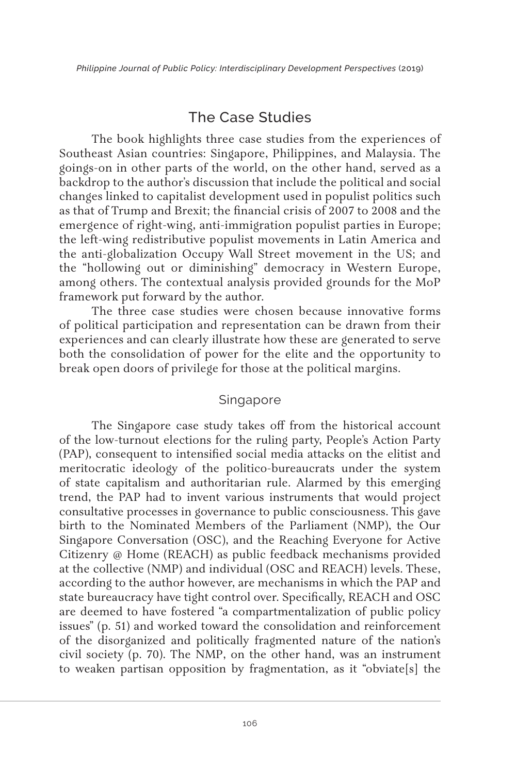# The Case Studies

The book highlights three case studies from the experiences of Southeast Asian countries: Singapore, Philippines, and Malaysia. The goings-on in other parts of the world, on the other hand, served as a backdrop to the author's discussion that include the political and social changes linked to capitalist development used in populist politics such as that of Trump and Brexit; the financial crisis of 2007 to 2008 and the emergence of right-wing, anti-immigration populist parties in Europe; the left-wing redistributive populist movements in Latin America and the anti-globalization Occupy Wall Street movement in the US; and the "hollowing out or diminishing" democracy in Western Europe, among others. The contextual analysis provided grounds for the MoP framework put forward by the author.

The three case studies were chosen because innovative forms of political participation and representation can be drawn from their experiences and can clearly illustrate how these are generated to serve both the consolidation of power for the elite and the opportunity to break open doors of privilege for those at the political margins.

#### Singapore

The Singapore case study takes off from the historical account of the low-turnout elections for the ruling party, People's Action Party (PAP), consequent to intensified social media attacks on the elitist and meritocratic ideology of the politico-bureaucrats under the system of state capitalism and authoritarian rule. Alarmed by this emerging trend, the PAP had to invent various instruments that would project consultative processes in governance to public consciousness. This gave birth to the Nominated Members of the Parliament (NMP), the Our Singapore Conversation (OSC), and the Reaching Everyone for Active Citizenry @ Home (REACH) as public feedback mechanisms provided at the collective (NMP) and individual (OSC and REACH) levels. These, according to the author however, are mechanisms in which the PAP and state bureaucracy have tight control over. Specifically, REACH and OSC are deemed to have fostered "a compartmentalization of public policy issues" (p. 51) and worked toward the consolidation and reinforcement of the disorganized and politically fragmented nature of the nation's civil society (p. 70). The NMP, on the other hand, was an instrument to weaken partisan opposition by fragmentation, as it "obviate[s] the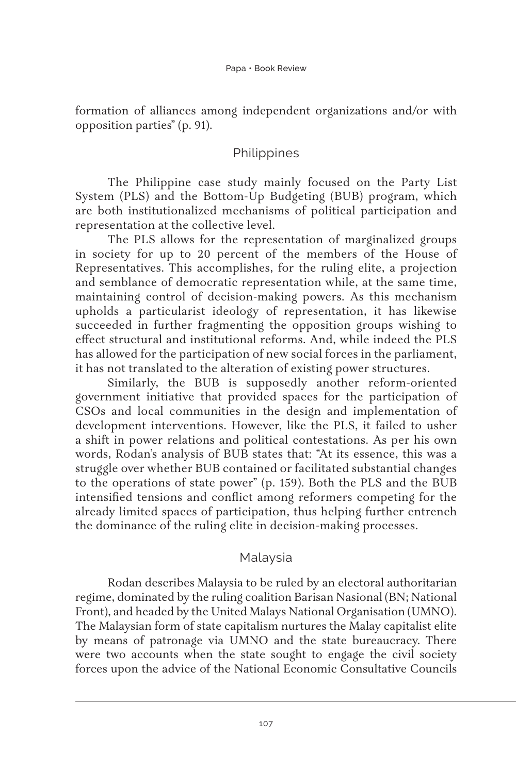formation of alliances among independent organizations and/or with opposition parties" (p. 91).

#### **Philippines**

The Philippine case study mainly focused on the Party List System (PLS) and the Bottom-Up Budgeting (BUB) program, which are both institutionalized mechanisms of political participation and representation at the collective level.

The PLS allows for the representation of marginalized groups in society for up to 20 percent of the members of the House of Representatives. This accomplishes, for the ruling elite, a projection and semblance of democratic representation while, at the same time, maintaining control of decision-making powers. As this mechanism upholds a particularist ideology of representation, it has likewise succeeded in further fragmenting the opposition groups wishing to effect structural and institutional reforms. And, while indeed the PLS has allowed for the participation of new social forces in the parliament, it has not translated to the alteration of existing power structures.

Similarly, the BUB is supposedly another reform-oriented government initiative that provided spaces for the participation of CSOs and local communities in the design and implementation of development interventions. However, like the PLS, it failed to usher a shift in power relations and political contestations. As per his own words, Rodan's analysis of BUB states that: "At its essence, this was a struggle over whether BUB contained or facilitated substantial changes to the operations of state power" (p. 159). Both the PLS and the BUB intensified tensions and conflict among reformers competing for the already limited spaces of participation, thus helping further entrench the dominance of the ruling elite in decision-making processes.

#### Malaysia

Rodan describes Malaysia to be ruled by an electoral authoritarian regime, dominated by the ruling coalition Barisan Nasional (BN; National Front), and headed by the United Malays National Organisation (UMNO). The Malaysian form of state capitalism nurtures the Malay capitalist elite by means of patronage via UMNO and the state bureaucracy. There were two accounts when the state sought to engage the civil society forces upon the advice of the National Economic Consultative Councils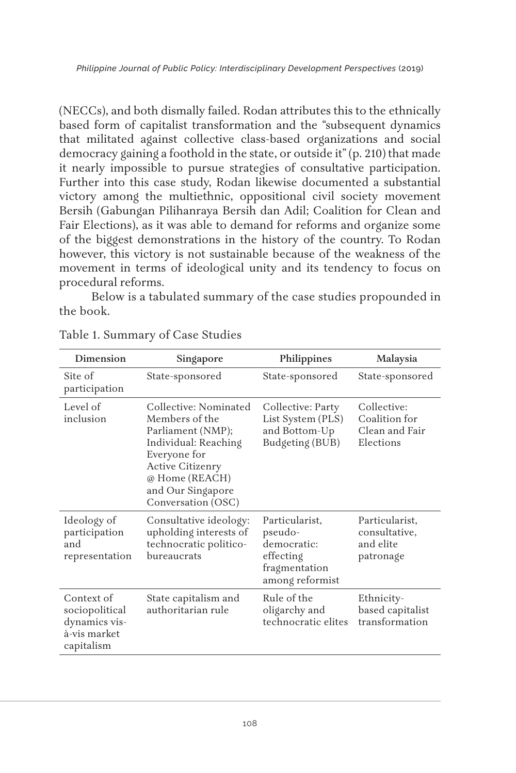(NECCs), and both dismally failed. Rodan attributes this to the ethnically based form of capitalist transformation and the "subsequent dynamics that militated against collective class-based organizations and social democracy gaining a foothold in the state, or outside it" (p. 210) that made it nearly impossible to pursue strategies of consultative participation. Further into this case study, Rodan likewise documented a substantial victory among the multiethnic, oppositional civil society movement Bersih (Gabungan Pilihanraya Bersih dan Adil; Coalition for Clean and Fair Elections), as it was able to demand for reforms and organize some of the biggest demonstrations in the history of the country. To Rodan however, this victory is not sustainable because of the weakness of the movement in terms of ideological unity and its tendency to focus on procedural reforms.

Below is a tabulated summary of the case studies propounded in the book.

| Dimension                                                                   | Singapore                                                                                                                                                                                    | Philippines                                                                               | Malaysia                                                    |
|-----------------------------------------------------------------------------|----------------------------------------------------------------------------------------------------------------------------------------------------------------------------------------------|-------------------------------------------------------------------------------------------|-------------------------------------------------------------|
| Site of<br>participation                                                    | State-sponsored                                                                                                                                                                              | State-sponsored                                                                           | State-sponsored                                             |
| Level of<br>inclusion                                                       | Collective: Nominated<br>Members of the<br>Parliament (NMP);<br>Individual: Reaching<br>Everyone for<br><b>Active Citizenry</b><br>@ Home (REACH)<br>and Our Singapore<br>Conversation (OSC) | Collective: Party<br>List System (PLS)<br>and Bottom-Up<br>Budgeting (BUB)                | Collective:<br>Coalition for<br>Clean and Fair<br>Elections |
| Ideology of<br>participation<br>and<br>representation                       | Consultative ideology:<br>upholding interests of<br>technocratic politico-<br>bureaucrats                                                                                                    | Particularist,<br>pseudo-<br>democratic:<br>effecting<br>fragmentation<br>among reformist | Particularist,<br>consultative,<br>and elite<br>patronage   |
| Context of<br>sociopolitical<br>dynamics vis-<br>à-vis market<br>capitalism | State capitalism and<br>authoritarian rule                                                                                                                                                   | Rule of the<br>oligarchy and<br>technocratic elites                                       | Ethnicity-<br>based capitalist<br>transformation            |

#### Table 1. Summary of Case Studies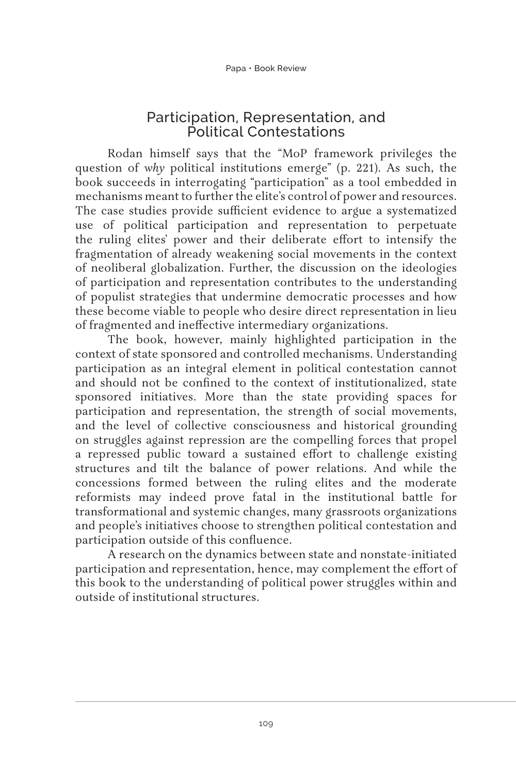## Participation, Representation, and Political Contestations

Rodan himself says that the "MoP framework privileges the question of *why* political institutions emerge" (p. 221). As such, the book succeeds in interrogating "participation" as a tool embedded in mechanisms meant to further the elite's control of power and resources. The case studies provide sufficient evidence to argue a systematized use of political participation and representation to perpetuate the ruling elites' power and their deliberate effort to intensify the fragmentation of already weakening social movements in the context of neoliberal globalization. Further, the discussion on the ideologies of participation and representation contributes to the understanding of populist strategies that undermine democratic processes and how these become viable to people who desire direct representation in lieu of fragmented and ineffective intermediary organizations.

The book, however, mainly highlighted participation in the context of state sponsored and controlled mechanisms. Understanding participation as an integral element in political contestation cannot and should not be confined to the context of institutionalized, state sponsored initiatives. More than the state providing spaces for participation and representation, the strength of social movements, and the level of collective consciousness and historical grounding on struggles against repression are the compelling forces that propel a repressed public toward a sustained effort to challenge existing structures and tilt the balance of power relations. And while the concessions formed between the ruling elites and the moderate reformists may indeed prove fatal in the institutional battle for transformational and systemic changes, many grassroots organizations and people's initiatives choose to strengthen political contestation and participation outside of this confluence.

A research on the dynamics between state and nonstate-initiated participation and representation, hence, may complement the effort of this book to the understanding of political power struggles within and outside of institutional structures.